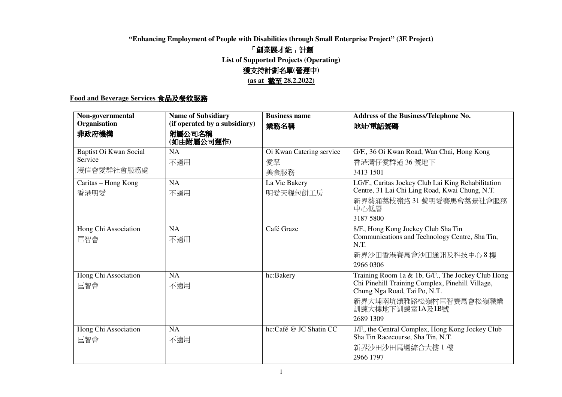## **"Enhancing Employment of People with Disabilities through Small Enterprise Project" (3E Project)**

# 「 創業展才能」計劃

**List of Supported Projects (Operating)**

## 獲支持計劃名 單 **(**營運中**)**

**(as at** 截至 **28.2.2022)** 

# **Food and Beverage Services** 食品及餐飲服務

| Non-governmental<br>Organisation                | <b>Name of Subsidiary</b><br>(if operated by a subsidiary) | <b>Business name</b><br>業務名稱           | Address of the Business/Telephone No.<br>地址/電話號碼                                                                                                                                               |
|-------------------------------------------------|------------------------------------------------------------|----------------------------------------|------------------------------------------------------------------------------------------------------------------------------------------------------------------------------------------------|
| 非政府機構                                           | 附屬公司名稱<br>(如由附屬公司運作)                                       |                                        |                                                                                                                                                                                                |
| Baptist Oi Kwan Social<br>Service<br>浸信會愛群社會服務處 | <b>NA</b><br>不適用                                           | Oi Kwan Catering service<br>愛羣<br>美食服務 | G/F., 36 Oi Kwan Road, Wan Chai, Hong Kong<br>香港灣仔愛群道 36號地下<br>3413 1501                                                                                                                       |
| Caritas - Hong Kong<br>香港明愛                     | NA<br>不適用                                                  | La Vie Bakery<br>明愛天糧包餅工房              | LG/F., Caritas Jockey Club Lai King Rehabilitation<br>Centre, 31 Lai Chi Ling Road, Kwai Chung, N.T.<br>新界葵涌荔枝嶺路31號明愛賽馬會荔景社會服務<br>中心低層<br>3187 5800                                            |
| Hong Chi Association<br>匡智會                     | <b>NA</b><br>不適用                                           | Café Graze                             | 8/F., Hong Kong Jockey Club Sha Tin<br>Communications and Technology Centre, Sha Tin,<br>N.T.<br>新界沙田香港賽馬會沙田通訊及科技中心8樓<br>2966 0306                                                             |
| Hong Chi Association<br>匡智會                     | NA<br>不適用                                                  | hc:Bakery                              | Training Room 1a & 1b, G/F., The Jockey Club Hong<br>Chi Pinehill Training Complex, Pinehill Village,<br>Chung Nga Road, Tai Po, N.T.<br>新界大埔南坑頌雅路松嶺村匡智賽馬會松嶺職業<br>訓練大樓地下訓練室1A及1B號<br>2689 1309 |
| Hong Chi Association<br>匡智會                     | $\overline{NA}$<br>不適用                                     | hc:Café @ JC Shatin CC                 | 1/F., the Central Complex, Hong Kong Jockey Club<br>Sha Tin Racecourse, Sha Tin, N.T.<br>新界沙田沙田馬場綜合大樓1樓<br>2966 1797                                                                           |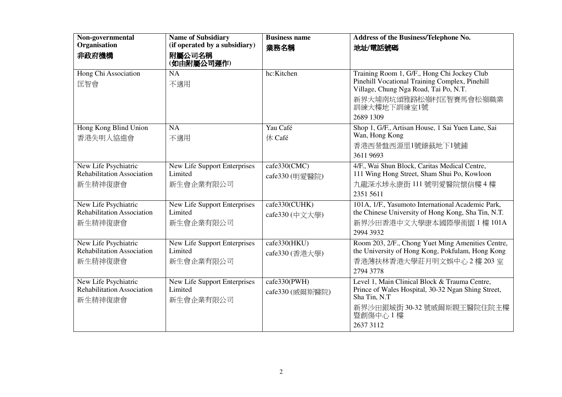| Non-governmental<br>Organisation<br>非政府機構                            | <b>Name of Subsidiary</b><br>(if operated by a subsidiary)<br>附屬公司名稱<br>(如由附屬公司運作) | <b>Business name</b><br>業務名稱    | <b>Address of the Business/Telephone No.</b><br>地址/電話號碼                                                                                                                                     |
|----------------------------------------------------------------------|------------------------------------------------------------------------------------|---------------------------------|---------------------------------------------------------------------------------------------------------------------------------------------------------------------------------------------|
| Hong Chi Association<br>匡智會                                          | <b>NA</b><br>不適用                                                                   | hc:Kitchen                      | Training Room 1, G/F., Hong Chi Jockey Club<br>Pinehill Vocational Training Complex, Pinehill<br>Village, Chung Nga Road, Tai Po, N.T.<br>新界大埔南坑頌雅路松嶺村匡智賽馬會松嶺職業<br>訓練大樓地下訓練室1號<br>2689 1309 |
| Hong Kong Blind Union<br>香港失明人協進會                                    | NA<br>不適用                                                                          | Yau Café<br>休 Café              | Shop 1, G/F., Artisan House, 1 Sai Yuen Lane, Sai<br>Wan, Hong Kong<br>香港西營盤西源里1號臻蓺地下1號鋪<br>3611 9693                                                                                       |
| New Life Psychiatric<br>Rehabilitation Association<br>新生精神復康會        | New Life Support Enterprises<br>Limited<br>新生會企業有限公司                               | cafe330(CMC)<br>cafe330 (明愛醫院)  | 4/F., Wai Shun Block, Caritas Medical Centre,<br>111 Wing Hong Street, Sham Shui Po, Kowloon<br>九龍深水埗永康街 111號明愛醫院懷信樓4樓<br>2351 5611                                                         |
| New Life Psychiatric<br><b>Rehabilitation Association</b><br>新生精神復康會 | <b>New Life Support Enterprises</b><br>Limited<br>新生會企業有限公司                        | cafe330(CUHK)<br>cafe330 (中文大學) | 101A, 1/F., Yasumoto International Academic Park,<br>the Chinese University of Hong Kong, Sha Tin, N.T.<br>新界沙田香港中文大學康本國際學術園 1 樓 101A<br>2994 3932                                          |
| New Life Psychiatric<br>Rehabilitation Association<br>新生精神復康會        | New Life Support Enterprises<br>Limited<br>新生會企業有限公司                               | cafe330(HKU)<br>cafe330 (香港大學)  | Room 203, 2/F., Chong Yuet Ming Amenities Centre,<br>the University of Hong Kong, Pokfulam, Hong Kong<br>香港薄扶林香港大學莊月明文娛中心 2樓 203室<br>2794 3778                                              |
| New Life Psychiatric<br>Rehabilitation Association<br>新生精神復康會        | New Life Support Enterprises<br>Limited<br>新生會企業有限公司                               | cafe330(PWH)<br>cafe330 (威爾斯醫院) | Level 1, Main Clinical Block & Trauma Centre,<br>Prince of Wales Hospital, 30-32 Ngan Shing Street,<br>Sha Tin, N.T<br>新界沙田銀城街 30-32號威爾斯親王醫院住院主樓<br>暨創傷中心1樓<br>2637 3112                    |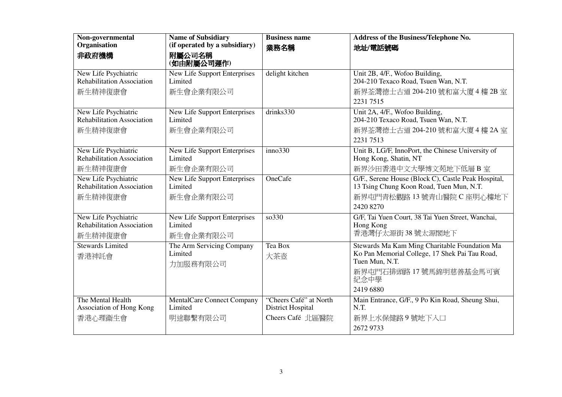| Non-governmental                                                     | <b>Name of Subsidiary</b>                                   | <b>Business name</b>                                                   | Address of the Business/Telephone No.                                                                                                                            |
|----------------------------------------------------------------------|-------------------------------------------------------------|------------------------------------------------------------------------|------------------------------------------------------------------------------------------------------------------------------------------------------------------|
| Organisation                                                         | (if operated by a subsidiary)                               | 業務名稱                                                                   | 地址/電話號碼                                                                                                                                                          |
| 非政府機構                                                                | 附屬公司名稱<br>(如由附屬公司運作)                                        |                                                                        |                                                                                                                                                                  |
| New Life Psychiatric<br><b>Rehabilitation Association</b>            | <b>New Life Support Enterprises</b><br>Limited              | delight kitchen                                                        | Unit 2B, 4/F., Wofoo Building,<br>204-210 Texaco Road, Tsuen Wan, N.T.                                                                                           |
| 新生精神復康會                                                              | 新生會企業有限公司                                                   |                                                                        | 新界荃灣德士古道 204-210號和富大廈 4樓 2B室<br>2231 7515                                                                                                                        |
| New Life Psychiatric<br><b>Rehabilitation Association</b><br>新生精神復康會 | <b>New Life Support Enterprises</b><br>Limited<br>新生會企業有限公司 | drinks 330                                                             | Unit 2A, 4/F., Wofoo Building,<br>204-210 Texaco Road, Tsuen Wan, N.T.<br>新界荃灣德士古道 204-210號和富大廈 4樓 2A室<br>2231 7513                                              |
| New Life Psychiatric<br><b>Rehabilitation Association</b><br>新生精神復康會 | <b>New Life Support Enterprises</b><br>Limited<br>新生會企業有限公司 | inno330                                                                | Unit B, LG/F, InnoPort, the Chinese University of<br>Hong Kong, Shatin, NT<br>新界沙田香港中文大學博文苑地下低層B室                                                                |
| New Life Psychiatric<br>Rehabilitation Association<br>新生精神復康會        | New Life Support Enterprises<br>Limited<br>新生會企業有限公司        | OneCafe                                                                | G/F., Serene House (Block C), Castle Peak Hospital,<br>13 Tsing Chung Koon Road, Tuen Mun, N.T.<br>新界屯門青松觀路 13 號青山醫院 C 座明心樓地下<br>2420 8270                       |
| New Life Psychiatric<br><b>Rehabilitation Association</b><br>新生精神復康會 | New Life Support Enterprises<br>Limited<br>新生會企業有限公司        | so330                                                                  | G/F, Tai Yuen Court, 38 Tai Yuen Street, Wanchai,<br>Hong Kong<br>香港灣仔太源街 38 號太源閣地下                                                                              |
| <b>Stewards Limited</b><br>香港神託會                                     | The Arm Servicing Company<br>Limited<br>力加服務有限公司            | Tea Box<br>大茶壺                                                         | Stewards Ma Kam Ming Charitable Foundation Ma<br>Ko Pan Memorial College, 17 Shek Pai Tau Road,<br>Tuen Mun, N.T.<br>新界屯門石排頭路 17號馬錦明慈善基金馬可賓<br>紀念中學<br>2419 6880 |
| The Mental Health<br>Association of Hong Kong<br>香港心理衞生會             | <b>MentalCare Connect Company</b><br>Limited<br>明途聯繫有限公司    | "Cheers Café" at North<br><b>District Hospital</b><br>Cheers Café 北區醫院 | Main Entrance, G/F., 9 Po Kin Road, Sheung Shui,<br>N.T.<br>新界上水保健路9號地下入口<br>2672 9733                                                                           |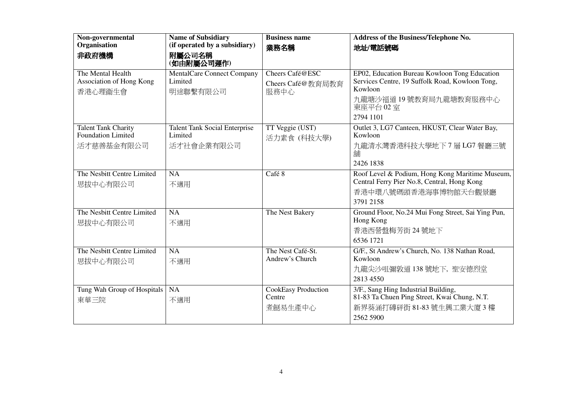| Non-governmental<br>Organisation                         | <b>Name of Subsidiary</b><br>(if operated by a subsidiary)    | <b>Business name</b>                            | Address of the Business/Telephone No.                                                                                                                          |
|----------------------------------------------------------|---------------------------------------------------------------|-------------------------------------------------|----------------------------------------------------------------------------------------------------------------------------------------------------------------|
| 非政府機構                                                    | 附屬公司名稱<br>(如由附屬公司運作)                                          | 業務名稱                                            | 地址/電話號碼                                                                                                                                                        |
| The Mental Health<br>Association of Hong Kong<br>香港心理衞生會 | <b>MentalCare Connect Company</b><br>Limited<br>明途聯繫有限公司      | Cheers Café@ESC<br>Cheers Café@教育局教育<br>服務中心    | EP02, Education Bureau Kowloon Tong Education<br>Services Centre, 19 Suffolk Road, Kowloon Tong,<br>Kowloon<br>九龍塘沙福道 19號教育局九龍塘教育服務中心<br>東座平台 02室<br>2794 1101 |
| Talent Tank Charity<br>Foundation Limited<br>活才慈善基金有限公司  | <b>Talent Tank Social Enterprise</b><br>Limited<br>活才社會企業有限公司 | TT Veggie (UST)<br>活力素食 (科技大學)                  | Outlet 3, LG7 Canteen, HKUST, Clear Water Bay,<br>Kowloon<br>九龍清水灣香港科技大學地下7層 LG7 餐廳三號<br>舖<br>2426 1838                                                        |
| The Nesbitt Centre Limited<br>思拔中心有限公司                   | NA<br>不適用                                                     | Café 8                                          | Roof Level & Podium, Hong Kong Maritime Museum,<br>Central Ferry Pier No.8, Central, Hong Kong<br>香港中環八號碼頭香港海事博物館天台觀景廳<br>3791 2158                            |
| The Nesbitt Centre Limited<br>思拔中心有限公司                   | NA<br>不適用                                                     | The Nest Bakery                                 | Ground Floor, No.24 Mui Fong Street, Sai Ying Pun,<br>Hong Kong<br>香港西營盤梅芳街 24號地下<br>6536 1721                                                                 |
| The Nesbitt Centre Limited<br>思拔中心有限公司                   | NA<br>不適用                                                     | The Nest Café-St.<br>Andrew's Church            | G/F., St Andrew's Church, No. 138 Nathan Road,<br>Kowloon<br>九龍尖沙咀彌敦道 138 號地下, 聖安德烈堂<br>2813 4550                                                              |
| Tung Wah Group of Hospitals<br>東華三院                      | <b>NA</b><br>不適用                                              | <b>CookEasy Production</b><br>Centre<br>煮餸易牛產中心 | 3/F., Sang Hing Industrial Building,<br>81-83 Ta Chuen Ping Street, Kwai Chung, N.T.<br>新界葵涌打磚砰街 81-83號生興工業大廈3樓<br>2562 5900                                   |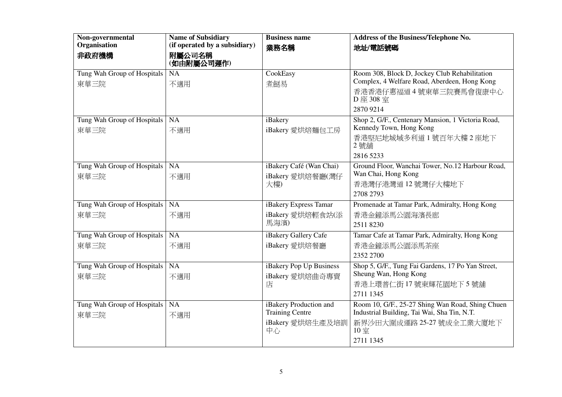| Non-governmental                 | <b>Name of Subsidiary</b>     | <b>Business name</b>    | Address of the Business/Telephone No.             |
|----------------------------------|-------------------------------|-------------------------|---------------------------------------------------|
| Organisation                     | (if operated by a subsidiary) | 業務名稱                    | 地址/電話號碼                                           |
| 非政府機構                            | 附屬公司名稱<br>(如由附屬公司運作)          |                         |                                                   |
| Tung Wah Group of Hospitals      | NA                            | CookEasy                | Room 308, Block D, Jockey Club Rehabilitation     |
| 東華三院                             | 不適用                           | 煮餸易                     | Complex, 4 Welfare Road, Aberdeen, Hong Kong      |
|                                  |                               |                         | 香港香港仔惠福道4號東華三院賽馬會復康中心<br>D 座 308 室                |
|                                  |                               |                         | 2870 9214                                         |
| Tung Wah Group of Hospitals   NA |                               | iBakery                 | Shop 2, G/F., Centenary Mansion, 1 Victoria Road, |
| 東華三院                             | 不適用                           | iBakery 愛烘焙麵包工房         | Kennedy Town, Hong Kong                           |
|                                  |                               |                         | 香港堅尼地城域多利道1號百年大樓2座地下<br>2號舖                       |
|                                  |                               |                         | 2816 5233                                         |
| Tung Wah Group of Hospitals   NA |                               | iBakery Café (Wan Chai) | Ground Floor, Wanchai Tower, No.12 Harbour Road,  |
| 東華三院                             | 不適用                           | iBakery 愛烘焙餐廳(灣仔        | Wan Chai, Hong Kong                               |
|                                  |                               | 大樓)                     | 香港灣仔港灣道 12 號灣仔大樓地下                                |
|                                  |                               |                         | 2708 2793                                         |
| Tung Wah Group of Hospitals   NA |                               | iBakery Express Tamar   | Promenade at Tamar Park, Admiralty, Hong Kong     |
| 東華三院                             | 不適用                           | iBakery 愛烘焙輕食站(添        | 香港金鐘添馬公園海濱長廊                                      |
|                                  |                               | 馬海濱)                    | 25118230                                          |
| Tung Wah Group of Hospitals      | $\overline{\mathsf{NA}}$      | iBakery Gallery Cafe    | Tamar Cafe at Tamar Park, Admiralty, Hong Kong    |
| 東華三院                             | 不適用                           | iBakery 愛烘焙餐廳           | 香港金鐘添馬公園添馬茶座                                      |
|                                  |                               |                         | 2352 2700                                         |
| Tung Wah Group of Hospitals NA   |                               | iBakery Pop Up Business | Shop 5, G/F., Tung Fai Gardens, 17 Po Yan Street, |
| 東華三院                             | 不適用                           | iBakery 愛烘焙曲奇專賣         | Sheung Wan, Hong Kong                             |
|                                  |                               | 店                       | 香港上環普仁街17號東輝花園地下5號舖                               |
|                                  |                               |                         | 2711 1345                                         |
| Tung Wah Group of Hospitals   NA |                               | iBakery Production and  | Room 10, G/F., 25-27 Shing Wan Road, Shing Chuen  |
| 東華三院                             | 不適用                           | <b>Training Centre</b>  | Industrial Building, Tai Wai, Sha Tin, N.T.       |
|                                  |                               | iBakery 愛烘焙生產及培訓<br>中心  | 新界沙田大圍成運路 25-27 號成全工業大廈地下<br>10室                  |
|                                  |                               |                         | 2711 1345                                         |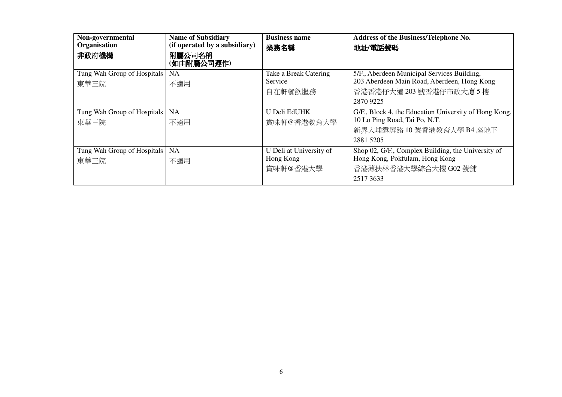| Non-governmental<br>Organisation<br>非政府機構 | <b>Name of Subsidiary</b><br>(if operated by a subsidiary)<br>附屬公司名稱<br>(如由附屬公司運作) | <b>Business name</b><br>業務名稱                     | Address of the Business/Telephone No.<br>地址/電話號碼                                                                                    |
|-------------------------------------------|------------------------------------------------------------------------------------|--------------------------------------------------|-------------------------------------------------------------------------------------------------------------------------------------|
| Tung Wah Group of Hospitals<br>東華三院       | <b>NA</b><br>不適用                                                                   | Take a Break Catering<br>Service<br>自在軒餐飲服務      | 5/F., Aberdeen Municipal Services Building,<br>203 Aberdeen Main Road, Aberdeen, Hong Kong<br>香港香港仔大道 203 號香港仔市政大廈 5 樓<br>2870 9225 |
| Tung Wah Group of Hospitals<br>東華三院       | <b>NA</b><br>不適用                                                                   | U Deli EdUHK<br>賞味軒@香港教育大學                       | G/F., Block 4, the Education University of Hong Kong,<br>10 Lo Ping Road, Tai Po, N.T.<br>新界大埔露屏路 10號香港教育大學 B4座地下<br>2881 5205      |
| Tung Wah Group of Hospitals<br>東華三院       | <b>NA</b><br>不適用                                                                   | U Deli at University of<br>Hong Kong<br>賞味軒@香港大學 | Shop 02, G/F., Complex Building, the University of<br>Hong Kong, Pokfulam, Hong Kong<br>香港薄扶林香港大學綜合大樓 G02 號舖<br>25173633            |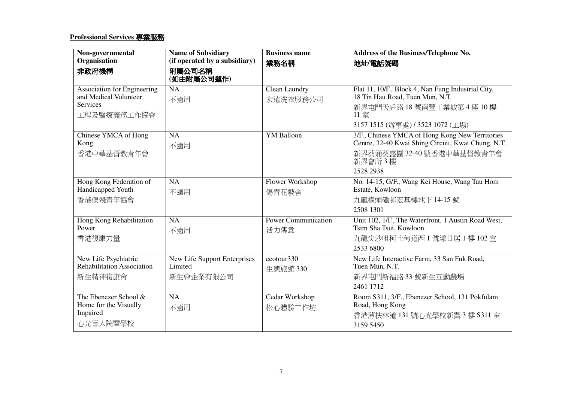#### **Professional Services** 專業服務

| Non-governmental                                                                              | <b>Name of Subsidiary</b>                            | <b>Business name</b>               | Address of the Business/Telephone No.                                                                                                                     |
|-----------------------------------------------------------------------------------------------|------------------------------------------------------|------------------------------------|-----------------------------------------------------------------------------------------------------------------------------------------------------------|
| Organisation                                                                                  | (if operated by a subsidiary)                        | 業務名稱                               | 地址/電話號碼                                                                                                                                                   |
| 非政府機構                                                                                         | 附屬公司名稱<br>(如由附屬公司運作)                                 |                                    |                                                                                                                                                           |
| <b>Association for Engineering</b><br>and Medical Volunteer<br><b>Services</b><br>工程及醫療義務工作協會 | NA<br>不適用                                            | Clean Laundry<br>宏遠洗衣服務公司          | Flat 11, 10/F., Block 4, Nan Fung Industrial City,<br>18 Tin Hau Road, Tuen Mun, N.T.<br>新界屯門天后路18號南豐工業城第4座10樓<br>11室<br>3157 1515 (辦事處) / 3523 1072 (工場) |
| Chinese YMCA of Hong<br>Kong<br>香港中華基督教青年會                                                    | NA<br>不適用                                            | <b>YM</b> Balloon                  | 3/F., Chinese YMCA of Hong Kong New Territories<br>Centre, 32-40 Kwai Shing Circuit, Kwai Chung, N.T.<br>新界葵涌葵盛圍 32-40號香港中華基督教青年會<br>新界會所3樓<br>2528 2938  |
| Hong Kong Federation of<br>Handicapped Youth<br>香港傷殘青年協會                                      | <b>NA</b><br>不適用                                     | Flower Workshop<br>傷青花藝舍           | No. 14-15, G/F., Wang Kei House, Wang Tau Hom<br>Estate, Kowloon<br>九龍橫頭磡邨宏基樓地下 14-15號<br>2508 1301                                                       |
| Hong Kong Rehabilitation<br>Power<br>香港復康力量                                                   | NA<br>不適用                                            | <b>Power Communication</b><br>活力傳意 | Unit 102, 1/F., The Waterfront, 1 Austin Road West,<br>Tsim Sha Tsui, Kowloon.<br>九龍尖沙咀柯士甸道西1號漾日居1樓102室<br>2533 6800                                      |
| New Life Psychiatric<br>Rehabilitation Association<br>新生精神復康會                                 | New Life Support Enterprises<br>Limited<br>新生會企業有限公司 | ecotour <sub>330</sub><br>生態旅遊 330 | New Life Interactive Farm, 33 San Fuk Road,<br>Tuen Mun, N.T.<br>新界屯門新福路 33 號新生互動農場<br>2461 1712                                                          |
| The Ebenezer School &<br>Home for the Visually<br>Impaired<br>心光盲人院暨學校                        | <b>NA</b><br>不適用                                     | Cedar Workshop<br>松心體驗工作坊          | Room S311, 3/F., Ebenezer School, 131 Pokfulam<br>Road, Hong Kong<br>香港薄扶林道 131 號心光學校新翼 3 樓 S311 室<br>3159 5450                                           |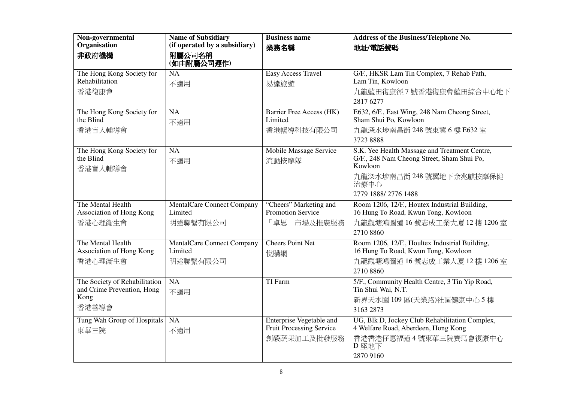| Non-governmental                       | <b>Name of Subsidiary</b>                    | <b>Business name</b>                        | Address of the Business/Telephone No.                                                |
|----------------------------------------|----------------------------------------------|---------------------------------------------|--------------------------------------------------------------------------------------|
| Organisation                           | (if operated by a subsidiary)                | 業務名稱                                        | 地址/電話號碼                                                                              |
| 非政府機構                                  | 附屬公司名稱<br>(如由附屬公司運作)                         |                                             |                                                                                      |
| The Hong Kong Society for              | <b>NA</b>                                    | <b>Easy Access Travel</b>                   | G/F., HKSR Lam Tin Complex, 7 Rehab Path,                                            |
| Rehabilitation                         | 不適用                                          | 易達旅遊                                        | Lam Tin, Kowloon                                                                     |
| 香港復康會                                  |                                              |                                             | 九龍藍田復康徑7號香港復康會藍田綜合中心地下                                                               |
|                                        |                                              |                                             | 2817 6277                                                                            |
| The Hong Kong Society for              | <b>NA</b>                                    | <b>Barrier Free Access (HK)</b>             | E632, 6/F., East Wing, 248 Nam Cheong Street,                                        |
| the Blind                              | 不適用                                          | Limited                                     | Sham Shui Po, Kowloon                                                                |
| 香港盲人輔導會                                |                                              | 香港暢導科技有限公司                                  | 九龍深水埗南昌街 248 號東冀 6 樓 E632 室                                                          |
|                                        |                                              |                                             | 3723 8888                                                                            |
| The Hong Kong Society for<br>the Blind | $\overline{NA}$                              | Mobile Massage Service                      | S.K. Yee Health Massage and Treatment Centre,                                        |
| 香港盲人輔導會                                | 不適用                                          | 流動按摩隊                                       | G/F., 248 Nam Cheong Street, Sham Shui Po,<br>Kowloon                                |
|                                        |                                              |                                             | 九龍深水埗南昌街 248號翼地下余兆麒按摩保健<br>治療中心                                                      |
|                                        |                                              |                                             | 2779 1888/2776 1488                                                                  |
| The Mental Health                      |                                              |                                             |                                                                                      |
| Association of Hong Kong               | <b>MentalCare Connect Company</b><br>Limited | "Cheers" Marketing and<br>Promotion Service | Room 1206, 12/F., Houtex Industrial Building,<br>16 Hung To Road, Kwun Tong, Kowloon |
| 香港心理衞生會                                | 明途聯繫有限公司                                     | 「卓思」市場及推廣服務                                 | 九龍觀塘鴻圖道16號志成工業大廈12樓1206室                                                             |
|                                        |                                              |                                             | 2710 8860                                                                            |
| The Mental Health                      | <b>MentalCare Connect Company</b>            | <b>Cheers Point Net</b>                     | Room 1206, 12/F., Houltex Industrial Building,                                       |
| Association of Hong Kong               | Limited                                      | 悅購網                                         | 16 Hung To Road, Kwun Tong, Kowloon                                                  |
| 香港心理衞生會                                | 明途聯繫有限公司                                     |                                             | 九龍觀塘鴻圖道16號志成工業大廈12樓1206室                                                             |
|                                        |                                              |                                             | 2710 8860                                                                            |
| The Society of Rehabilitation          | NA                                           | TI Farm                                     | 5/F., Community Health Centre, 3 Tin Yip Road,<br>Tin Shui Wai, N.T.                 |
| and Crime Prevention, Hong<br>Kong     | 不適用                                          |                                             |                                                                                      |
| 香港善導會                                  |                                              |                                             | 新界天水圍109區(天業路)社區健康中心5樓<br>3163 2873                                                  |
| Tung Wah Group of Hospitals            | NA                                           | Enterprise Vegetable and                    | UG, Blk D, Jockey Club Rehabilitation Complex,                                       |
| 東華三院                                   | 不適用                                          | Fruit Processing Service                    | 4 Welfare Road, Aberdeen, Hong Kong                                                  |
|                                        |                                              | 創毅蔬果加工及批發服務                                 | 香港香港仔惠福道 4號東華三院賽馬會復康中心                                                               |
|                                        |                                              |                                             | D 座地下                                                                                |
|                                        |                                              |                                             | 2870 9160                                                                            |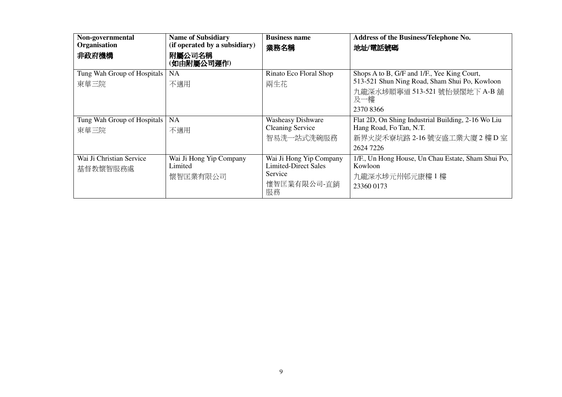| Non-governmental<br>Organisation<br>非政府機構 | <b>Name of Subsidiary</b><br>(if operated by a subsidiary)<br>附屬公司名稱<br>(如由附屬公司運作) | <b>Business name</b><br>業務名稱                                                           | Address of the Business/Telephone No.<br>地址/電話號碼                                                                                                  |
|-------------------------------------------|------------------------------------------------------------------------------------|----------------------------------------------------------------------------------------|---------------------------------------------------------------------------------------------------------------------------------------------------|
| Tung Wah Group of Hospitals<br>東華三院       | NA<br>不適用                                                                          | Rinato Eco Floral Shop<br>兩生花                                                          | Shops A to B, G/F and 1/F., Yee King Court,<br>513-521 Shun Ning Road, Sham Shui Po, Kowloon<br>九龍深水埗順寧道 513-521 號怡景閣地下 A-B 舖<br>及一樓<br>2370 8366 |
| Tung Wah Group of Hospitals   NA<br>東華三院  | 不適用                                                                                | <b>Washeasy Dishware</b><br><b>Cleaning Service</b><br>智易洗一站式洗碗服務                      | Flat 2D, On Shing Industrial Building, 2-16 Wo Liu<br>Hang Road, Fo Tan, N.T.<br>新界火炭禾寮坑路 2-16號安盛工業大廈 2樓 D室<br>2624 7226                          |
| Wai Ji Christian Service<br>基督教懷智服務處      | Wai Ji Hong Yip Company<br>Limited<br>懷智匡業有限公司                                     | Wai Ji Hong Yip Company<br><b>Limited-Direct Sales</b><br>Service<br>懷智匡業有限公司-直銷<br>服務 | 1/F., Un Hong House, Un Chau Estate, Sham Shui Po,<br>Kowloon<br>九龍深水埗元州邨元康樓1樓<br>23360 0173                                                      |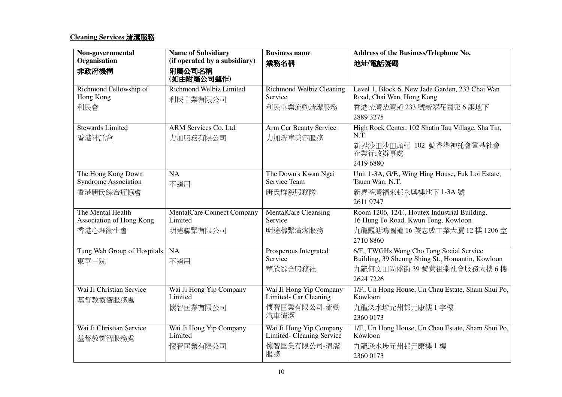# **Cleaning Services** 清潔服務

| Non-governmental                              | <b>Name of Subsidiary</b>             | <b>Business name</b>                                 | Address of the Business/Telephone No.                                                        |
|-----------------------------------------------|---------------------------------------|------------------------------------------------------|----------------------------------------------------------------------------------------------|
| Organisation                                  | (if operated by a subsidiary)         | 業務名稱                                                 | 地址/電話號碼                                                                                      |
| 非政府機構                                         | 附屬公司名稱<br>(如由附屬公司運作)                  |                                                      |                                                                                              |
| Richmond Fellowship of<br>Hong Kong           | Richmond Welbiz Limited<br>利民卓業有限公司   | <b>Richmond Welbiz Cleaning</b><br>Service           | Level 1, Block 6, New Jade Garden, 233 Chai Wan<br>Road, Chai Wan, Hong Kong                 |
| 利民會                                           |                                       | 利民卓業流動清潔服務                                           | 香港柴灣柴灣道 233號新翠花園第6座地下<br>2889 3275                                                           |
| <b>Stewards Limited</b><br>香港神託會              | ARM Services Co. Ltd.<br>力加服務有限公司     | Arm Car Beauty Service<br>力加洗車美容服務                   | High Rock Center, 102 Shatin Tau Village, Sha Tin,<br>N.T.                                   |
|                                               |                                       |                                                      | 新界沙田沙田頭村 102 號香港神托會靈基社會<br>企業行政辦事處                                                           |
|                                               |                                       |                                                      | 2419 6880                                                                                    |
| The Hong Kong Down<br>Syndrome Association    | <b>NA</b><br>不適用                      | The Down's Kwan Ngai<br>Service Team                 | Unit 1-3A, G/F., Wing Hing House, Fuk Loi Estate,<br>Tsuen Wan, N.T.                         |
| 香港唐氏綜合症協會                                     |                                       | 唐氏群毅服務隊                                              | 新界荃灣福來邨永興樓地下 1-3A號                                                                           |
|                                               |                                       |                                                      | 2611 9747                                                                                    |
| The Mental Health<br>Association of Hong Kong | MentalCare Connect Company<br>Limited | <b>MentalCare Cleansing</b><br>Service               | Room 1206, 12/F., Houtex Industrial Building,<br>16 Hung To Road, Kwun Tong, Kowloon         |
| 香港心理衞生會                                       | 明途聯繫有限公司                              | 明途聯繫清潔服務                                             | 九龍觀塘鴻圖道 16號志成工業大廈 12樓 1206室                                                                  |
|                                               |                                       |                                                      | 2710 8860                                                                                    |
| Tung Wah Group of Hospitals                   | <b>NA</b>                             | Prosperous Integrated<br>Service                     | 6/F., TWGHs Wong Cho Tong Social Service<br>Building, 39 Sheung Shing St., Homantin, Kowloon |
| 東華三院                                          | 不適用                                   | 華欣綜合服務社                                              | 九龍何文田尚盛街39號黃祖棠社會服務大樓6樓                                                                       |
|                                               |                                       |                                                      | 2624 7226                                                                                    |
| Wai Ji Christian Service                      | Wai Ji Hong Yip Company               | Wai Ji Hong Yip Company                              | 1/F., Un Hong House, Un Chau Estate, Sham Shui Po,                                           |
| 基督教懷智服務處                                      | Limited                               | Limited- Car Cleaning                                | Kowloon                                                                                      |
|                                               | 懷智匡業有限公司                              | 懷智匡業有限公司-流動<br>汽車清潔                                  | 九龍深水埗元州邨元康樓1字樓                                                                               |
|                                               |                                       |                                                      | 2360 0173                                                                                    |
| Wai Ji Christian Service<br>基督教懷智服務處          | Wai Ji Hong Yip Company<br>Limited    | Wai Ji Hong Yip Company<br>Limited- Cleaning Service | 1/F., Un Hong House, Un Chau Estate, Sham Shui Po,<br>Kowloon                                |
|                                               | 懷智匡業有限公司                              | 懷智匡業有限公司-清潔                                          | 九龍深水埗元州邨元康樓1樓                                                                                |
|                                               |                                       | 服務                                                   | 2360 0173                                                                                    |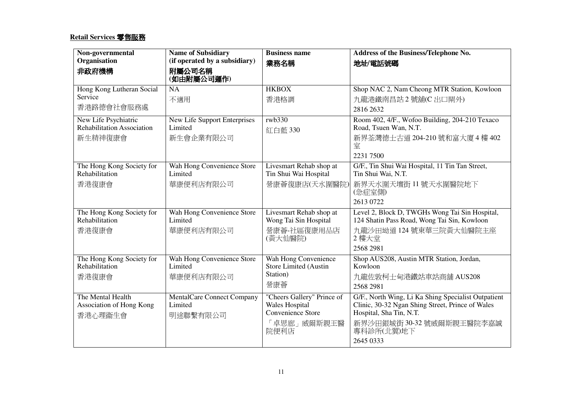### **Retail Services** 零售服務

| Non-governmental                              | <b>Name of Subsidiary</b>             | <b>Business name</b>                             | Address of the Business/Telephone No.                                                                   |
|-----------------------------------------------|---------------------------------------|--------------------------------------------------|---------------------------------------------------------------------------------------------------------|
| Organisation                                  | (if operated by a subsidiary)         | 業務名稱                                             | 地址/電話號碼                                                                                                 |
| 非政府機構                                         | 附屬公司名稱<br>(如由附屬公司運作)                  |                                                  |                                                                                                         |
| Hong Kong Lutheran Social                     | <b>NA</b>                             | <b>HKBOX</b>                                     | Shop NAC 2, Nam Cheong MTR Station, Kowloon                                                             |
| Service                                       | 不適用                                   | 香港格調                                             | 九龍港鐵南昌站 2 號舖(C出口閘外)                                                                                     |
| 香港路德會社會服務處                                    |                                       |                                                  | 2816 2632                                                                                               |
| New Life Psychiatric                          | <b>New Life Support Enterprises</b>   | rwb330                                           | Room 402, 4/F., Wofoo Building, 204-210 Texaco                                                          |
| <b>Rehabilitation Association</b>             | Limited                               | 紅白藍 330                                          | Road, Tsuen Wan, N.T.                                                                                   |
| 新生精神復康會                                       | 新生會企業有限公司                             |                                                  | 新界荃灣德士古道 204-210號和富大廈 4 樓 402<br>室                                                                      |
|                                               |                                       |                                                  | 2231 7500                                                                                               |
| The Hong Kong Society for                     | Wah Hong Convenience Store            | Livesmart Rehab shop at                          | G/F., Tin Shui Wai Hospital, 11 Tin Tan Street,                                                         |
| Rehabilitation                                | Limited                               | Tin Shui Wai Hospital                            | Tin Shui Wai, N.T.                                                                                      |
| 香港復康會                                         | 華康便利店有限公司                             | 營康薈復康店(天水圍醫院)                                    | 新界天水圍天壇街 11號天水圍醫院地下<br>(急症室側)                                                                           |
|                                               |                                       |                                                  | 2613 0722                                                                                               |
| The Hong Kong Society for<br>Rehabilitation   | Wah Hong Convenience Store<br>Limited | Livesmart Rehab shop at<br>Wong Tai Sin Hospital | Level 2, Block D, TWGHs Wong Tai Sin Hospital,<br>124 Shatin Pass Road, Wong Tai Sin, Kowloon           |
| 香港復康會                                         | 華康便利店有限公司                             | 營康薈-社區復康用品店<br>(黃大仙醫院)                           | 九龍沙田坳道124號東華三院黃大仙醫院主座<br>2樓大堂                                                                           |
|                                               |                                       |                                                  | 2568 2981                                                                                               |
| The Hong Kong Society for                     | Wah Hong Convenience Store            | Wah Hong Convenience                             | Shop AUS208, Austin MTR Station, Jordan,                                                                |
| Rehabilitation                                | Limited                               | Store Limited (Austin<br>Station)                | Kowloon                                                                                                 |
| 香港復康會                                         | 華康便利店有限公司                             | 營康薈                                              | 九龍佐敦柯士甸港鐵站車站商舖 AUS208                                                                                   |
|                                               |                                       |                                                  | 2568 2981                                                                                               |
| The Mental Health<br>Association of Hong Kong | MentalCare Connect Company<br>Limited | "Cheers Gallery" Prince of<br>Wales Hospital     | G/F., North Wing, Li Ka Shing Specialist Outpatient<br>Clinic, 30-32 Ngan Shing Street, Prince of Wales |
| 香港心理衞生會                                       | 明途聯繫有限公司                              | Convenience Store                                | Hospital, Sha Tin, N.T.                                                                                 |
|                                               |                                       | 「卓思廊」威爾斯親王醫<br>院便利店                              | 新界沙田銀城街 30-32號威爾斯親王醫院李嘉誠<br>專科診所(北翼)地下                                                                  |
|                                               |                                       |                                                  | 2645 0333                                                                                               |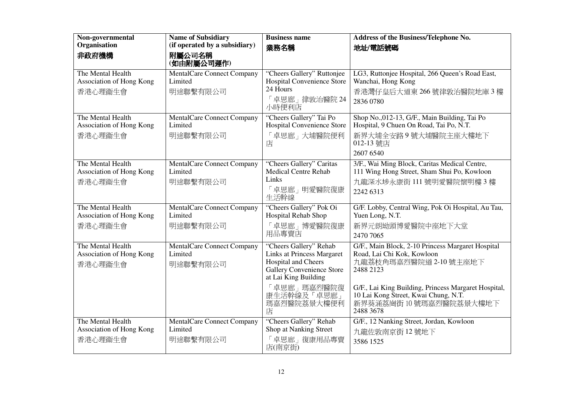| Non-governmental                                         | <b>Name of Subsidiary</b>                                | <b>Business name</b>                                                                                                                                                                 | Address of the Business/Telephone No.                                                                                                                                                                                                          |
|----------------------------------------------------------|----------------------------------------------------------|--------------------------------------------------------------------------------------------------------------------------------------------------------------------------------------|------------------------------------------------------------------------------------------------------------------------------------------------------------------------------------------------------------------------------------------------|
| Organisation                                             | (if operated by a subsidiary)                            | 業務名稱                                                                                                                                                                                 | 地址/電話號碼                                                                                                                                                                                                                                        |
| 非政府機構                                                    | 附屬公司名稱<br>(如由附屬公司運作)                                     |                                                                                                                                                                                      |                                                                                                                                                                                                                                                |
| The Mental Health<br>Association of Hong Kong<br>香港心理衞生會 | <b>MentalCare Connect Company</b><br>Limited<br>明途聯繫有限公司 | "Cheers Gallery" Ruttonjee<br>Hospital Convenience Store<br>24 Hours<br>「卓思廊」律敦治醫院 24<br>小時便利店                                                                                       | LG3, Ruttonjee Hospital, 266 Queen's Road East,<br>Wanchai, Hong Kong<br>香港灣仔皇后大道東 266號律敦治醫院地庫 3樓<br>2836 0780                                                                                                                                 |
| The Mental Health<br>Association of Hong Kong<br>香港心理衞生會 | <b>MentalCare Connect Company</b><br>Limited<br>明途聯繫有限公司 | "Cheers Gallery" Tai Po<br>Hospital Convenience Store<br>卓思廊」大埔醫院便利<br>店                                                                                                             | Shop No., 012-13, G/F., Main Building, Tai Po<br>Hospital, 9 Chuen On Road, Tai Po, N.T.<br>新界大埔全安路9號大埔醫院主座大樓地下<br>012-13 號店<br>2607 6540                                                                                                      |
| The Mental Health<br>Association of Hong Kong<br>香港心理衞生會 | <b>MentalCare Connect Company</b><br>Limited<br>明途聯繫有限公司 | "Cheers Gallery" Caritas<br><b>Medical Centre Rehab</b><br>Links<br>「卓思廊」明愛醫院復康<br>生活幹線                                                                                              | 3/F., Wai Ming Block, Caritas Medical Centre,<br>111 Wing Hong Street, Sham Shui Po, Kowloon<br>九龍深水埗永康街 111號明愛醫院懷明樓3樓<br>2242 6313                                                                                                            |
| The Mental Health<br>Association of Hong Kong<br>香港心理衞生會 | <b>MentalCare Connect Company</b><br>Limited<br>明途聯繫有限公司 | "Cheers Gallery" Pok Oi<br>Hospital Rehab Shop<br>「卓思廊」博愛醫院復康<br>用品專賣店                                                                                                               | G/F. Lobby, Central Wing, Pok Oi Hospital, Au Tau,<br>Yuen Long, N.T.<br>新界元朗坳頭博愛醫院中座地下大堂<br>2470 7065                                                                                                                                         |
| The Mental Health<br>Association of Hong Kong<br>香港心理衞生會 | MentalCare Connect Company<br>Limited<br>明途聯繫有限公司        | "Cheers Gallery" Rehab<br><b>Links at Princess Margaret</b><br>Hospital and Cheers<br>Gallery Convenience Store<br>at Lai King Building<br>「卓思廊」瑪嘉烈醫院復<br>康生活幹線及「卓思廊」<br>瑪嘉烈醫院荔景大樓便利 | G/F., Main Block, 2-10 Princess Margaret Hospital<br>Road, Lai Chi Kok, Kowloon<br>九龍荔枝角瑪嘉烈醫院道 2-10號主座地下<br>2488 2123<br>G/F., Lai King Building, Princess Margaret Hospital,<br>10 Lai Kong Street, Kwai Chung, N.T.<br>新界葵涌荔崗街10號瑪嘉烈醫院荔景大樓地下 |
| The Mental Health<br>Association of Hong Kong<br>香港心理衞生會 | MentalCare Connect Company<br>Limited<br>明途聯繫有限公司        | 店<br>"Cheers Gallery" Rehab<br>Shop at Nanking Street<br>「卓思廊」復康用品專賣<br>店(南京街)                                                                                                       | 2488 3678<br>G/F., 12 Nanking Street, Jordan, Kowloon<br>九龍佐敦南京街 12號地下<br>3586 1525                                                                                                                                                            |